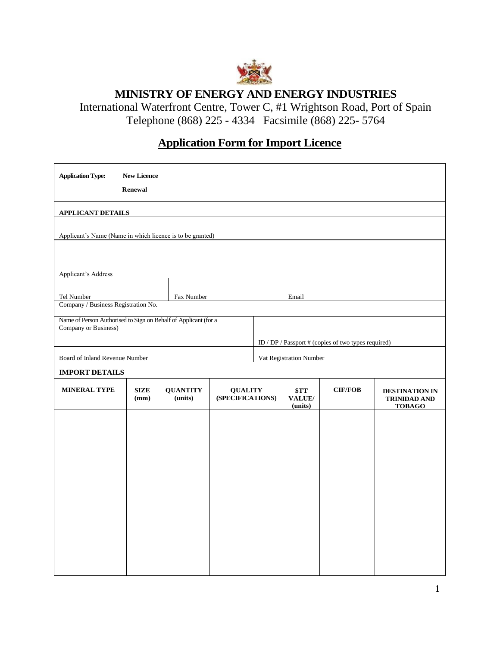

# **MINISTRY OF ENERGY AND ENERGY INDUSTRIES**

International Waterfront Centre, Tower C, #1 Wrightson Road, Port of Spain Telephone (868) 225 - 4334 Facsimile (868) 225- 5764

# **Application Form for Import Licence**

| <b>Application Type:</b>                                                                | <b>New Licence</b><br><b>Renewal</b> |                            |                                    |  |                                                     |         |                                                               |  |  |
|-----------------------------------------------------------------------------------------|--------------------------------------|----------------------------|------------------------------------|--|-----------------------------------------------------|---------|---------------------------------------------------------------|--|--|
| <b>APPLICANT DETAILS</b>                                                                |                                      |                            |                                    |  |                                                     |         |                                                               |  |  |
|                                                                                         |                                      |                            |                                    |  |                                                     |         |                                                               |  |  |
| Applicant's Name (Name in which licence is to be granted)                               |                                      |                            |                                    |  |                                                     |         |                                                               |  |  |
|                                                                                         |                                      |                            |                                    |  |                                                     |         |                                                               |  |  |
| Applicant's Address                                                                     |                                      |                            |                                    |  |                                                     |         |                                                               |  |  |
| Tel Number                                                                              |                                      | Fax Number                 |                                    |  | Email                                               |         |                                                               |  |  |
| Company / Business Registration No.                                                     |                                      |                            |                                    |  |                                                     |         |                                                               |  |  |
| Name of Person Authorised to Sign on Behalf of Applicant (for a<br>Company or Business) |                                      |                            |                                    |  |                                                     |         |                                                               |  |  |
|                                                                                         |                                      |                            |                                    |  | ID / DP / Passport # (copies of two types required) |         |                                                               |  |  |
| Board of Inland Revenue Number                                                          |                                      |                            |                                    |  | Vat Registration Number                             |         |                                                               |  |  |
| <b>IMPORT DETAILS</b>                                                                   |                                      |                            |                                    |  |                                                     |         |                                                               |  |  |
| <b>MINERAL TYPE</b>                                                                     | SIZE<br>(mm)                         | <b>QUANTITY</b><br>(units) | <b>QUALITY</b><br>(SPECIFICATIONS) |  | \$TT<br>VALUE/<br>(units)                           | CIF/FOB | <b>DESTINATION IN</b><br><b>TRINIDAD AND</b><br><b>TOBAGO</b> |  |  |
|                                                                                         |                                      |                            |                                    |  |                                                     |         |                                                               |  |  |
|                                                                                         |                                      |                            |                                    |  |                                                     |         |                                                               |  |  |
|                                                                                         |                                      |                            |                                    |  |                                                     |         |                                                               |  |  |
|                                                                                         |                                      |                            |                                    |  |                                                     |         |                                                               |  |  |
|                                                                                         |                                      |                            |                                    |  |                                                     |         |                                                               |  |  |
|                                                                                         |                                      |                            |                                    |  |                                                     |         |                                                               |  |  |
|                                                                                         |                                      |                            |                                    |  |                                                     |         |                                                               |  |  |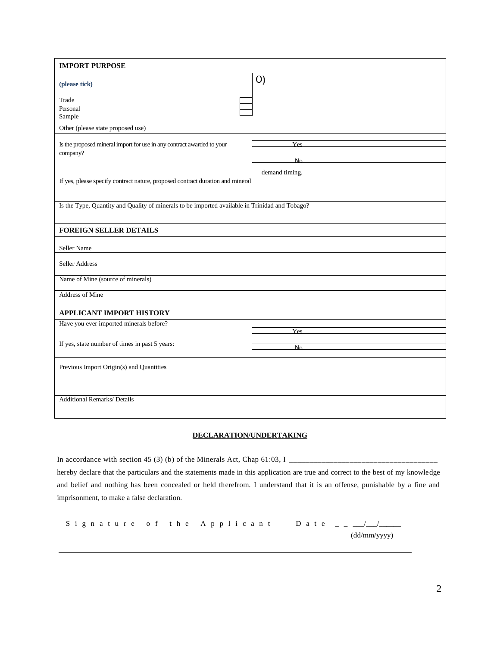| <b>IMPORT PURPOSE</b>                                                                            |                   |  |  |  |  |  |
|--------------------------------------------------------------------------------------------------|-------------------|--|--|--|--|--|
| (please tick)                                                                                    | $\left( 0\right)$ |  |  |  |  |  |
| Trade<br>Personal<br>Sample                                                                      |                   |  |  |  |  |  |
| Other (please state proposed use)                                                                |                   |  |  |  |  |  |
| Is the proposed mineral import for use in any contract awarded to your<br>company?               | Yes<br>No         |  |  |  |  |  |
| demand timing.<br>If yes, please specify contract nature, proposed contract duration and mineral |                   |  |  |  |  |  |
| Is the Type, Quantity and Quality of minerals to be imported available in Trinidad and Tobago?   |                   |  |  |  |  |  |
| <b>FOREIGN SELLER DETAILS</b>                                                                    |                   |  |  |  |  |  |
| Seller Name                                                                                      |                   |  |  |  |  |  |
| Seller Address                                                                                   |                   |  |  |  |  |  |
| Name of Mine (source of minerals)                                                                |                   |  |  |  |  |  |
| <b>Address of Mine</b>                                                                           |                   |  |  |  |  |  |
| <b>APPLICANT IMPORT HISTORY</b>                                                                  |                   |  |  |  |  |  |
| Have you ever imported minerals before?                                                          | <b>Yes</b>        |  |  |  |  |  |
| If yes, state number of times in past 5 years:                                                   | No                |  |  |  |  |  |
| Previous Import Origin(s) and Quantities                                                         |                   |  |  |  |  |  |
| <b>Additional Remarks/ Details</b>                                                               |                   |  |  |  |  |  |

## **DECLARATION/UNDERTAKING**

In accordance with section 45 (3) (b) of the Minerals Act, Chap 61:03, I \_\_\_\_\_\_\_\_\_\_\_\_\_\_\_\_\_\_\_\_\_\_\_\_\_\_\_\_\_\_\_\_\_\_\_\_\_ hereby declare that the particulars and the statements made in this application are true and correct to the best of my knowledge and belief and nothing has been concealed or held therefrom. I understand that it is an offense, punishable by a fine and imprisonment, to make a false declaration.

S i g n a t u r e o f t h e A p p l i c a n t D a t e \_ \_ \_\_\_/\_\_\_/\_\_\_\_\_\_ (dd/mm/yyyy)